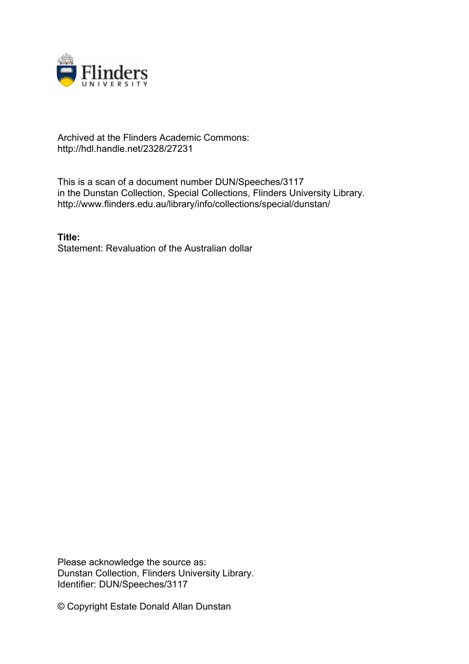

## Archived at the Flinders Academic Commons: http://hdl.handle.net/2328/27231

This is a scan of a document number DUN/Speeches/3117 in the Dunstan Collection, Special Collections, Flinders University Library. http://www.flinders.edu.au/library/info/collections/special/dunstan/

**Title:** Statement: Revaluation of the Australian dollar

Please acknowledge the source as: Dunstan Collection, Flinders University Library. Identifier: DUN/Speeches/3117

© Copyright Estate Donald Allan Dunstan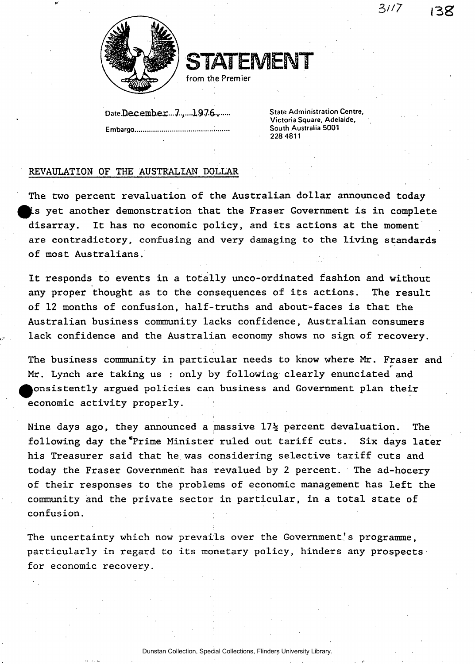**3//7 l3 g** 



STATEMENT

from the Premier

Date.December...7......1976......

**Embargo i South Australia 5001** 

**State Administration Centre. Victoria Square, Adelaide, 228 4811** 

## REVAULATION OF THE AUSTRALIAN DOLLAR

The two percent revaluation of the Australian dollar announced today is yet another demonstration that the Fraser Government is in complete disarray. It has no economic policy, and its actions at the moment are contradictory, confusing and very damaging to the living standards of most Australians.

It responds to events in a totally unco-ordinated fashion and without any proper thought as to the consequences of its actions. The result of 12 months of confusion, half-truths and about-faces is that the Australian business community lacks confidence, Australian consumers lack confidence and the Australian economy shows no sign of recovery.

The business community in particular needs to know where Mr. Fraser and *r*  Mr. Lynch are taking us : only by following clearly enunciated and ^^onsistently argued policies can business and Government plan their economic activity properly.

Nine days ago, they announced a massive  $17\frac{1}{2}$  percent devaluation. The following day the\*Prime Minister ruled out tariff cuts. Six days later his Treasurer said that he was considering selective tariff cuts and today the Fraser Government has revalued by 2 percent. The ad-hocery of their responses to the problems of economic management has left the community and the private sector in particular, in a total state of confusion.

The uncertainty which now prevails over the Government's programme, particularly in regard to its monetary policy, hinders any prospects for economic recovery.